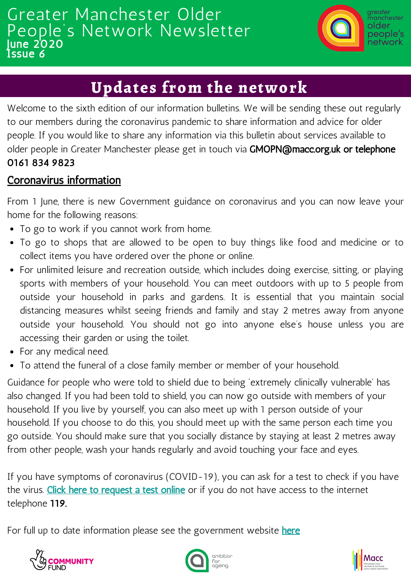

# **Updates from the network**

Welcome to the sixth edition of our information bulletins. We will be sending these out regularly to our members during the coronavirus pandemic to share information and advice for older people. If you would like to share any information via this bulletin about services available to older people in Greater Manchester please get in touch via GMOPN@macc.org.uk or telephone 0161 834 9823

# Coronavirus information

From 1 June, there is new Government guidance on coronavirus and you can now leave your home for the following reasons:

- To go to work if you cannot work from home.
- To go to shops that are allowed to be open to buy things like food and medicine or to collect items you have ordered over the phone or online.
- For unlimited leisure and recreation outside, which includes doing exercise, sitting, or playing sports with members of your household. You can meet outdoors with up to 5 people from outside your household in parks and gardens. It is essential that you maintain social distancing measures whilst seeing friends and family and stay 2 metres away from anyone outside your household. You should not go into anyone else's house unless you are accessing their garden or using the toilet.
- For any medical need.
- To attend the funeral of a close family member or member of your household.

Guidance for people who were told to shield due to being 'extremely clinically vulnerable' has also changed. If you had been told to shield, you can now go outside with members of your household. If you live by yourself, you can also meet up with 1 person outside of your household. If you choose to do this, you should meet up with the same person each time you go outside. You should make sure that you socially distance by staying at least 2 metres away from other people, wash your hands regularly and avoid touching your face and eyes.

If you have symptoms of coronavirus (COVID-19), you can ask for a test to check if you have the virus. Click here to [request](https://www.nhs.uk/conditions/coronavirus-covid-19/testing-and-tracing/ask-for-a-test-to-check-if-you-have-coronavirus/) a test online or if you do not have access to the internet telephone 119.

For full up to date information please see the government website [here](https://www.gov.uk/government/publications/coronavirus-outbreak-faqs-what-you-can-and-cant-do/coronavirus-outbreak-faqs-what-you-can-and-cant-do)





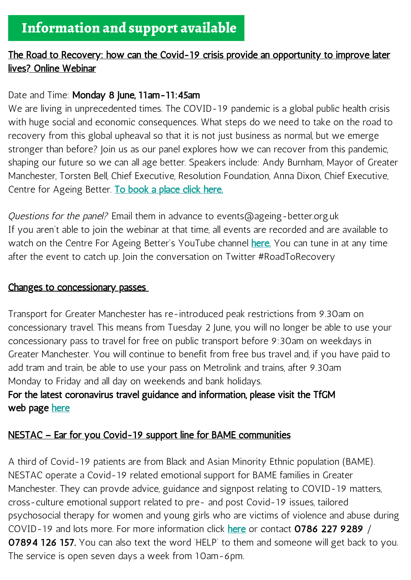### The Road to Recovery: how can the Covid-19 crisis provide an opportunity to improve later lives? Online Webinar

#### Date and Time: Monday 8 June, 11am-11:45am

We are living in unprecedented times. The COVID-19 pandemic is a global public health crisis with huge social and economic consequences. What steps do we need to take on the road to recovery from this global upheaval so that it is not just business as normal, but we emerge stronger than before? Join us as our panel explores how we can recover from this pandemic, shaping our future so we can all age better. Speakers include: Andy Burnham, Mayor of Greater Manchester, Torsten Bell, Chief Executive, Resolution Foundation, Anna Dixon, Chief Executive, Centre for Ageing Better. To book a [place](https://us02web.zoom.us/webinar/register/WN_zw_wBjqeQtqZMSWCfRd2vQ) click here.

Questions for the panel? Email them in advance to events@ageing-better.org.uk If you aren't able to join the webinar at that time, all events are recorded and are available to watch on the Centre For Ageing Better's YouTube channel [here.](https://www.youtube.com/c/CentreforAgeingBetter) You can tune in at any time after the event to catch up. Join the conversation on Twitter #RoadToRecovery

#### Changes to concessionary passes

Transport for Greater Manchester has re-introduced peak restrictions from 9.30am on concessionary travel. This means from Tuesday 2 June, you will no longer be able to use your concessionary pass to travel for free on public transport before 9:30am on weekdays in Greater Manchester. You will continue to benefit from free bus travel and, if you have paid to add tram and train, be able to use your pass on Metrolink and trains, after 9.30am Monday to Friday and all day on weekends and bank holidays.

# For the latest coronavirus travel guidance and information, please visit the TfGM web page [here](https://tfgm.com/)

### NESTAC – Ear for you Covid-19 support line for BAME communities

A third of Covid-19 patients are from Black and Asian Minority Ethnic population (BAME). NESTAC operate a Covid-19 related emotional support for BAME families in Greater Manchester. They can provde advice, guidance and signpost relating to COVID-19 matters, cross-culture emotional support related to pre- and post Covid-19 issues, tailored psychosocial therapy for women and young girls who are victims of violence and abuse during COVID-19 and lots more. For more information click [here](http://www.nestac.org.uk/) or contact 0786 227 9289 / 07894 126 157. You can also text the word 'HELP' to them and someone will get back to you. The service is open seven days a week from 10am-6pm.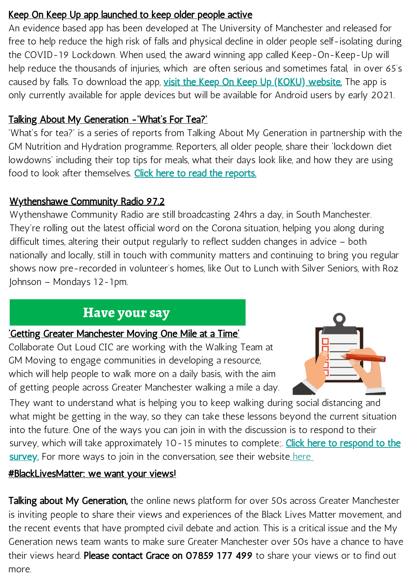### Keep On Keep Up app launched to keep older people active

An evidence based app has been developed at The University of Manchester and released for free to help reduce the high risk of falls and physical decline in older people self-isolating during the COVID-19 Lockdown. When used, the award winning app called Keep-On-Keep-Up will help reduce the thousands of injuries, which are often serious and sometimes fatal, in over 65's caused by falls. To download the app, visit the Keep On Keep Up (KOKU) [website.](https://kokuhealth.com/?utm_source=Manchester+City+Council+newsletter&utm_campaign=ad13a0178c-EMAIL_CAMPAIGN_2019_10_24_10_43_COPY_01&utm_medium=email&utm_term=0_360c2117f3-ad13a0178c-153899609) The app is only currently available for apple devices but will be available for Android users by early 2021.

#### Talking About My Generation -'What's For Tea?'

'What's for tea?' is a series of reports from Talking About My Generation in partnership with the GM Nutrition and Hydration programme. Reporters, all older people, share their 'lockdown diet lowdowns' including their top tips for meals, what their days look like, and how they are using food to look after themselves. Click here to read the [reports.](https://talkingaboutmygeneration.co.uk/whats-for-tea-jean/)

## Wythenshawe Community Radio 97.2

Wythenshawe Community Radio are still broadcasting 24hrs a day, in South Manchester. They're rolling out the latest official word on the Corona situation, helping you along during difficult times, altering their output regularly to reflect sudden changes in advice – both nationally and locally, still in touch with community matters and continuing to bring you regular shows now pre-recorded in volunteer's homes, like Out to Lunch with Silver Seniors, with Roz Johnson – Mondays 12-1pm.

# **Have your say**

#### 'Getting Greater Manchester Moving One Mile at a Time'

Collaborate Out Loud CIC are working with the Walking Team at GM Moving to engage communities in developing a resource, which will help people to walk more on a daily basis, with the aim of getting people across Greater Manchester walking a mile a day.



They want to understand what is helping you to keep walking during social distancing and what might be getting in the way, so they can take these lessons beyond the current situation into the future. One of the ways you can join in with the discussion is to respond to their survey, which will take [approximately](https://docs.google.com/forms/d/e/1FAIpQLSc6DZnsDyP4vWLNcGWNeoB53PZm9YPXs0LpvlLCpF6G77fGvw/viewform) 10-15 minutes to complete;. Click here to respond to the survey. For more ways to join in the conversation, see their website [here](https://gmwalking.co.uk/get-gm-moving-one-mile-at-a-time-gmdailymile/)

#### **#BlackLivesMatter: we want your views!**

Talking about My [Generation,](https://talkingaboutmygeneration.co.uk/) the online news platform for over 50s across Greater Manchester is inviting people to share their views and experiences of the Black Lives Matter movement, and the recent events that have prompted civil debate and action. This is a critical issue and the My Generation news team wants to make sure Greater Manchester over 50s have a chance to have their views heard. Please contact Grace on 07859 177 499 to share your views or to find out more.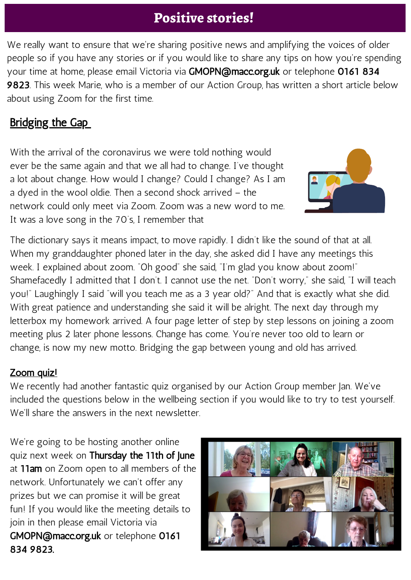# **Positive stories!**

We really want to ensure that we're sharing positive news and amplifying the voices of older people so if you have any stories or if you would like to share any tips on how you're spending your time at home, please email Victoria via GMOPN@macc.org.uk or telephone 0161 834 9823. This week Marie, who is a member of our Action Group, has written a short article below about using Zoom for the first time.

# **Bridging the Gap**

With the arrival of the coronavirus we were told nothing would ever be the same again and that we all had to change. I've thought a lot about change. How would I change? Could I change? As I am a dyed in the wool oldie. Then a second shock arrived – the network could only meet via Zoom. Zoom was a new word to me. It was a love song in the 70's, I remember that



The dictionary says it means impact, to move rapidly. I didn't like the sound of that at all. When my granddaughter phoned later in the day, she asked did I have any meetings this week. I explained about zoom. "Oh good" she said, "I'm glad you know about zoom!" Shamefacedly I admitted that I don't. I cannot use the net. "Don't worry," she said, "I will teach you!" Laughingly I said "will you teach me as a 3 year old?" And that is exactly what she did. With great patience and understanding she said it will be alright. The next day through my letterbox my homework arrived. A four page letter of step by step lessons on joining a zoom meeting plus 2 later phone lessons. Change has come. You're never too old to learn or change, is now my new motto. Bridging the gap between young and old has arrived.

# Zoom quizl

We recently had another fantastic quiz organised by our Action Group member Jan. We've included the questions below in the wellbeing section if you would like to try to test yourself. We'll share the answers in the next newsletter.

We're going to be hosting another online quiz next week on Thursday the 11th of June at 11am on Zoom open to all members of the network. Unfortunately we can't offer any prizes but we can promise it will be great fun! If you would like the meeting details to join in then please email Victoria via GMOPN@macc.org.uk or telephone 0161 834 9823.